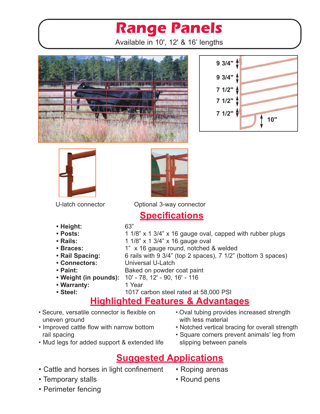# **Range Panels**

Available in 10', 12' & 16' lengths









U-latch connector Optional 3-way connector

### **Specifications**

**• Height:** 63"

- **Posts:** 1 1/8" x 1 3/4" x 16 gauge oval, capped with rubber plugs
- **• Rails:** 1 1/8" x 1 3/4" x 16 gauge oval
- **• Braces:** 1" x 16 gauge round, notched & welded
- **Rail Spacing:** 6 rails with 9 3/4" (top 2 spaces), 7 1/2" (bottom 3 spaces)
- **• Connectors:** Universal U-Latch
- **Paint:** Baked on powder coat paint
- **• Weight (in pounds):** 10' 78, 12' 90, 16' 116
- **• Warranty:** 1 Year
- 

### **• Steel:** 1017 carbon steel rated at 58,000 PSI **Highlighted Features & Advantages**

- Secure, versatile connector is flexible on uneven ground
- Improved cattle flow with narrow bottom rail spacing
- Mud legs for added support & extended life
- Oval tubing provides increased strength with less material
- Notched vertical bracing for overall strength
- Square corners prevent animals' leg from slipping between panels
- **Suggested Applications**
- Cattle and horses in light confinement
- Temporary stalls
- Perimeter fencing
- Roping arenas
- Round pens